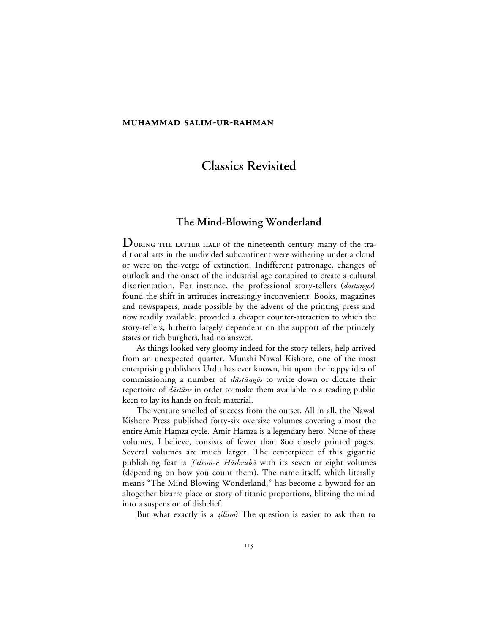#### **MUHAMMAD SALIM-UR-RAHMAN**

# **Classics Revisited**

## **The Mind-Blowing Wonderland**

 $D$  URING THE LATTER HALF of the nineteenth century many of the traditional arts in the undivided subcontinent were withering under a cloud or were on the verge of extinction. Indifferent patronage, changes of outlook and the onset of the industrial age conspired to create a cultural disorientation. For instance, the professional story-tellers (dāstāngōs) found the shift in attitudes increasingly inconvenient. Books, magazines and newspapers, made possible by the advent of the printing press and now readily available, provided a cheaper counter-attraction to which the story-tellers, hitherto largely dependent on the support of the princely states or rich burghers, had no answer.

As things looked very gloomy indeed for the story-tellers, help arrived from an unexpected quarter. Munshi Nawal Kishore, one of the most enterprising publishers Urdu has ever known, hit upon the happy idea of commissioning a number of  $d\bar{a}$ stāng $\bar{o}$ s to write down or dictate their repertoire of *dāstāns* in order to make them available to a reading public keen to lay its hands on fresh material.

The venture smelled of success from the outset. All in all, the Nawal Kishore Press published forty-six oversize volumes covering almost the entire Amir Hamza cycle. Amir Hamza is a legendary hero. None of these volumes, I believe, consists of fewer than 800 closely printed pages. Several volumes are much larger. The centerpiece of this gigantic publishing feat is *Tilism-e Hōshrubā* with its seven or eight volumes (depending on how you count them). The name itself, which literally means "The Mind-Blowing Wonderland," has become a byword for an altogether bizarre place or story of titanic proportions, blitzing the mind into a suspension of disbelief.

But what exactly is a *tilism*? The question is easier to ask than to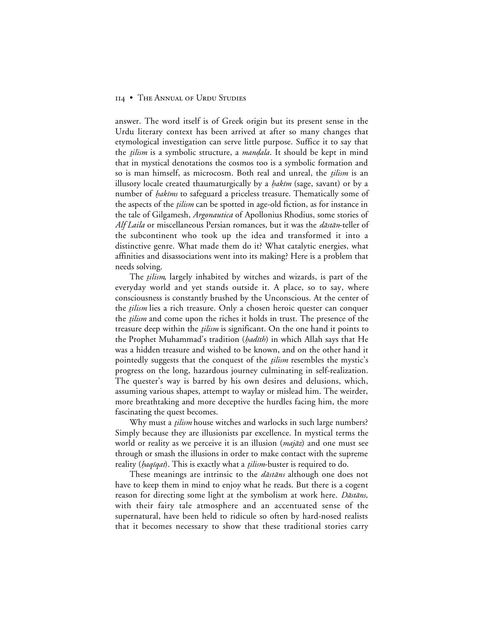#### 114 • THE ANNUAL OF URDU STUDIES

answer. The word itself is of Greek origin but its present sense in the Urdu literary context has been arrived at after so many changes that etymological investigation can serve little purpose. Suffice it to say that the *tilism* is a symbolic structure, a *mandala*. It should be kept in mind that in mystical denotations the cosmos too is a symbolic formation and so is man himself, as microcosm. Both real and unreal, the *tilism* is an illusory locale created thaumaturgically by a *hakīm* (sage, savant) or by a number of *hakīms* to safeguard a priceless treasure. Thematically some of the aspects of the *tilism* can be spotted in age-old fiction, as for instance in the tale of Gilgamesh, *Argonautica* of Apollonius Rhodius, some stories of *Alf Laila* or miscellaneous Persian romances, but it was the *dastan*-teller of the subcontinent who took up the idea and transformed it into a distinctive genre. What made them do it? What catalytic energies, what affinities and disassociations went into its making? Here is a problem that needs solving.

The *tilism*, largely inhabited by witches and wizards, is part of the everyday world and yet stands outside it. A place, so to say, where consciousness is constantly brushed by the Unconscious. At the center of the *tilism* lies a rich treasure. Only a chosen heroic quester can conquer the *tilism* and come upon the riches it holds in trust. The presence of the treasure deep within the *tilism* is significant. On the one hand it points to the Prophet Muhammad's tradition (hadīth) in which Allah says that He was a hidden treasure and wished to be known, and on the other hand it pointedly suggests that the conquest of the *tilism* resembles the mystic's progress on the long, hazardous journey culminating in self-realization. The quester's way is barred by his own desires and delusions, which, assuming various shapes, attempt to waylay or mislead him. The weirder, more breathtaking and more deceptive the hurdles facing him, the more fascinating the quest becomes.

Why must a *tilism* house witches and warlocks in such large numbers? Simply because they are illusionists par excellence. In mystical terms the world or reality as we perceive it is an illusion  $(majāz)$  and one must see through or smash the illusions in order to make contact with the supreme reality (*haqīqat*). This is exactly what a *tilism*-buster is required to do.

These meanings are intrinsic to the  $d\bar{a}$ st $\bar{a}$ ns although one does not have to keep them in mind to enjoy what he reads. But there is a cogent reason for directing some light at the symbolism at work here. *Dāstāns*, with their fairy tale atmosphere and an accentuated sense of the supernatural, have been held to ridicule so often by hard-nosed realists that it becomes necessary to show that these traditional stories carry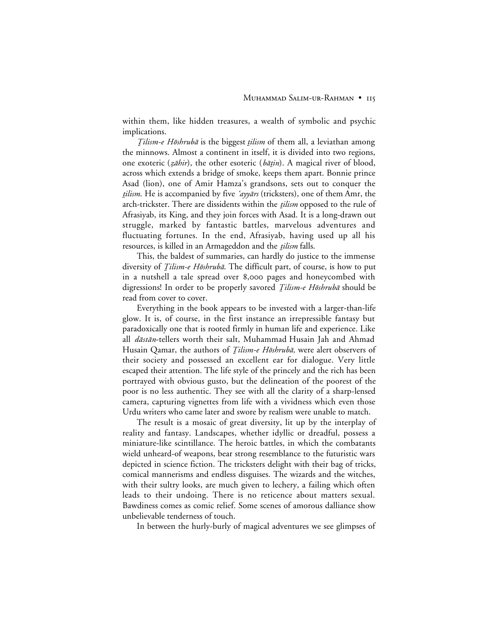within them, like hidden treasures, a wealth of symbolic and psychic implications.

 $Tilism-e H\bar{o}shrub\bar{a}$  is the biggest  $tilism$  of them all, a leviathan among the minnows. Almost a continent in itself, it is divided into two regions, one exoteric ( $z\bar{a}hir$ ), the other esoteric ( $b\bar{a}tin$ ). A magical river of blood, across which extends a bridge of smoke, keeps them apart. Bonnie prince Asad (lion), one of Amir Hamza's grandsons, sets out to conquer the tilism. He is accompanied by five 'ayyars (tricksters), one of them Amr, the arch-trickster. There are dissidents within the *tilism* opposed to the rule of Afrasiyab, its King, and they join forces with Asad. It is a long-drawn out struggle, marked by fantastic battles, marvelous adventures and fluctuating fortunes. In the end, Afrasiyab, having used up all his resources, is killed in an Armageddon and the *tilism* falls.

This, the baldest of summaries, can hardly do justice to the immense diversity of *Tilism-e Hōshrubā*. The difficult part, of course, is how to put in a nutshell a tale spread over 8,000 pages and honeycombed with digressions! In order to be properly savored *Tilism-e Hōshrubā* should be read from cover to cover.

Everything in the book appears to be invested with a larger-than-life glow. It is, of course, in the first instance an irrepressible fantasy but paradoxically one that is rooted firmly in human life and experience. Like all *dāstān*-tellers worth their salt, Muhammad Husain Jah and Ahmad Husain Qamar, the authors of *Ţilism-e Hōshrubā*, were alert observers of their society and possessed an excellent ear for dialogue. Very little escaped their attention. The life style of the princely and the rich has been portrayed with obvious gusto, but the delineation of the poorest of the poor is no less authentic. They see with all the clarity of a sharp-lensed camera, capturing vignettes from life with a vividness which even those Urdu writers who came later and swore by realism were unable to match.

The result is a mosaic of great diversity, lit up by the interplay of reality and fantasy. Landscapes, whether idyllic or dreadful, possess a miniature-like scintillance. The heroic battles, in which the combatants wield unheard-of weapons, bear strong resemblance to the futuristic wars depicted in science fiction. The tricksters delight with their bag of tricks, comical mannerisms and endless disguises. The wizards and the witches, with their sultry looks, are much given to lechery, a failing which often leads to their undoing. There is no reticence about matters sexual. Bawdiness comes as comic relief. Some scenes of amorous dalliance show unbelievable tenderness of touch.

In between the hurly-burly of magical adventures we see glimpses of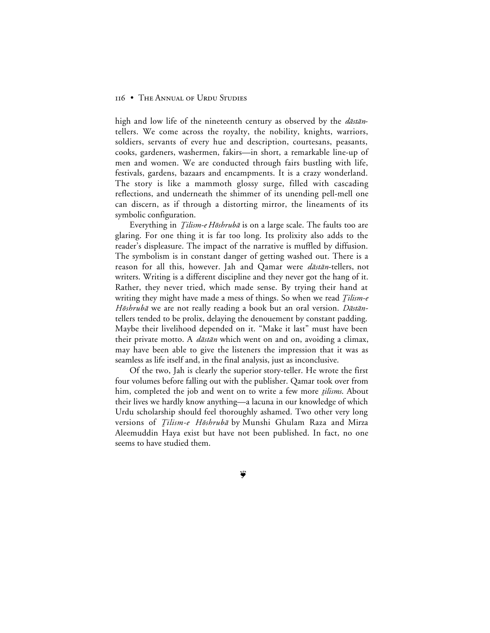#### **116 • THE ANNUAL OF URDU STUDIES**

high and low life of the nineteenth century as observed by the  $d\bar{a}$ st $\bar{a}n$ tellers. We come across the royalty, the nobility, knights, warriors, soldiers, servants of every hue and description, courtesans, peasants, cooks, gardeners, washermen, fakirs—in short, a remarkable line-up of men and women. We are conducted through fairs bustling with life, festivals, gardens, bazaars and encampments. It is a crazy wonderland. The story is like a mammoth glossy surge, filled with cascading reflections, and underneath the shimmer of its unending pell-mell one can discern, as if through a distorting mirror, the lineaments of its symbolic configuration.

Everything in *Ţilism-e Hōshrubā* is on a large scale. The faults too are glaring. For one thing it is far too long. Its prolixity also adds to the reader's displeasure. The impact of the narrative is muffled by diffusion. The symbolism is in constant danger of getting washed out. There is a reason for all this, however. Jah and Qamar were dastan-tellers, not writers. Writing is a different discipline and they never got the hang of it. Rather, they never tried, which made sense. By trying their hand at writing they might have made a mess of things. So when we read *Tilism-e* Hōshrubā we are not really reading a book but an oral version. Dāstāntellers tended to be prolix, delaying the denouement by constant padding. Maybe their livelihood depended on it. "Make it last" must have been their private motto. A *dāstān* which went on and on, avoiding a climax, may have been able to give the listeners the impression that it was as seamless as life itself and, in the final analysis, just as inconclusive.

Of the two, Jah is clearly the superior story-teller. He wrote the first four volumes before falling out with the publisher. Qamar took over from him, completed the job and went on to write a few more *tilisms*. About their lives we hardly know anything—a lacuna in our knowledge of which Urdu scholarship should feel thoroughly ashamed. Two other very long versions of *Tilism-e Hōshrubā* by Munshi Ghulam Raza and Mirza Aleemuddin Haya exist but have not been published. In fact, no one seems to have studied them.

Ş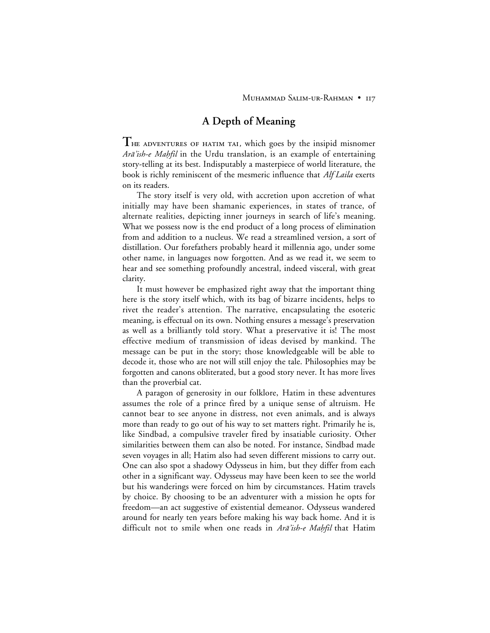## **A Depth of Meaning**

**T** HE ADVENTURES OF HATIM TAI, which goes by the insipid misnomer Arā'ish-e Mahfil in the Urdu translation, is an example of entertaining story-telling at its best. Indisputably a masterpiece of world literature, the book is richly reminiscent of the mesmeric influence that *Alf Laila* exerts on its readers.

The story itself is very old, with accretion upon accretion of what initially may have been shamanic experiences, in states of trance, of alternate realities, depicting inner journeys in search of life's meaning. What we possess now is the end product of a long process of elimination from and addition to a nucleus. We read a streamlined version, a sort of distillation. Our forefathers probably heard it millennia ago, under some other name, in languages now forgotten. And as we read it, we seem to hear and see something profoundly ancestral, indeed visceral, with great clarity.

It must however be emphasized right away that the important thing here is the story itself which, with its bag of bizarre incidents, helps to rivet the reader's attention. The narrative, encapsulating the esoteric meaning, is effectual on its own. Nothing ensures a message's preservation as well as a brilliantly told story. What a preservative it is! The most effective medium of transmission of ideas devised by mankind. The message can be put in the story; those knowledgeable will be able to decode it, those who are not will still enjoy the tale. Philosophies may be forgotten and canons obliterated, but a good story never. It has more lives than the proverbial cat.

A paragon of generosity in our folklore, Hatim in these adventures assumes the role of a prince fired by a unique sense of altruism. He cannot bear to see anyone in distress, not even animals, and is always more than ready to go out of his way to set matters right. Primarily he is, like Sindbad, a compulsive traveler fired by insatiable curiosity. Other similarities between them can also be noted. For instance, Sindbad made seven voyages in all; Hatim also had seven different missions to carry out. One can also spot a shadowy Odysseus in him, but they differ from each other in a significant way. Odysseus may have been keen to see the world but his wanderings were forced on him by circumstances. Hatim travels by choice. By choosing to be an adventurer with a mission he opts for freedom—an act suggestive of existential demeanor. Odysseus wandered around for nearly ten years before making his way back home. And it is difficult not to smile when one reads in Ara'ish-e Mahfil that Hatim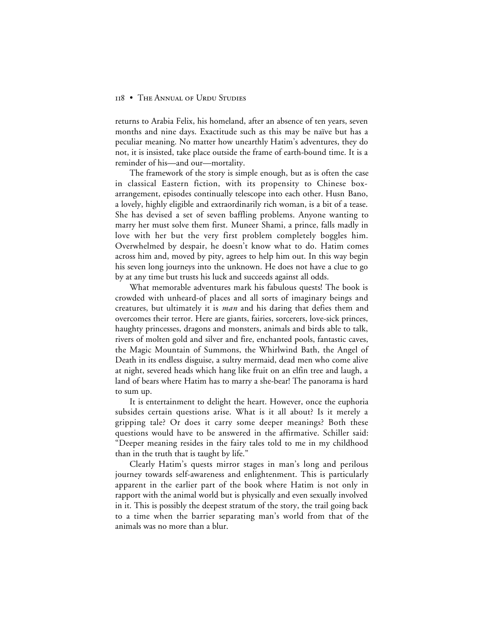#### 118 • THE ANNUAL OF URDU STUDIES

returns to Arabia Felix, his homeland, after an absence of ten years, seven months and nine days. Exactitude such as this may be naïve but has a peculiar meaning. No matter how unearthly Hatim's adventures, they do not, it is insisted, take place outside the frame of earth-bound time. It is a reminder of his—and our—mortality.

The framework of the story is simple enough, but as is often the case in classical Eastern fiction, with its propensity to Chinese boxarrangement, episodes continually telescope into each other. Husn Bano, a lovely, highly eligible and extraordinarily rich woman, is a bit of a tease. She has devised a set of seven baffling problems. Anyone wanting to marry her must solve them first. Muneer Shami, a prince, falls madly in love with her but the very first problem completely boggles him. Overwhelmed by despair, he doesn't know what to do. Hatim comes across him and, moved by pity, agrees to help him out. In this way begin his seven long journeys into the unknown. He does not have a clue to go by at any time but trusts his luck and succeeds against all odds.

What memorable adventures mark his fabulous quests! The book is crowded with unheard-of places and all sorts of imaginary beings and creatures, but ultimately it is *man* and his daring that defies them and overcomes their terror. Here are giants, fairies, sorcerers, love-sick princes, haughty princesses, dragons and monsters, animals and birds able to talk, rivers of molten gold and silver and fire, enchanted pools, fantastic caves, the Magic Mountain of Summons, the Whirlwind Bath, the Angel of Death in its endless disguise, a sultry mermaid, dead men who come alive at night, severed heads which hang like fruit on an elfin tree and laugh, a land of bears where Hatim has to marry a she-bear! The panorama is hard to sum up.

It is entertainment to delight the heart. However, once the euphoria subsides certain questions arise. What is it all about? Is it merely a gripping tale? Or does it carry some deeper meanings? Both these questions would have to be answered in the affirmative. Schiller said: "Deeper meaning resides in the fairy tales told to me in my childhood than in the truth that is taught by life."

Clearly Hatim's quests mirror stages in man's long and perilous journey towards self-awareness and enlightenment. This is particularly apparent in the earlier part of the book where Hatim is not only in rapport with the animal world but is physically and even sexually involved in it. This is possibly the deepest stratum of the story, the trail going back to a time when the barrier separating man's world from that of the animals was no more than a blur.